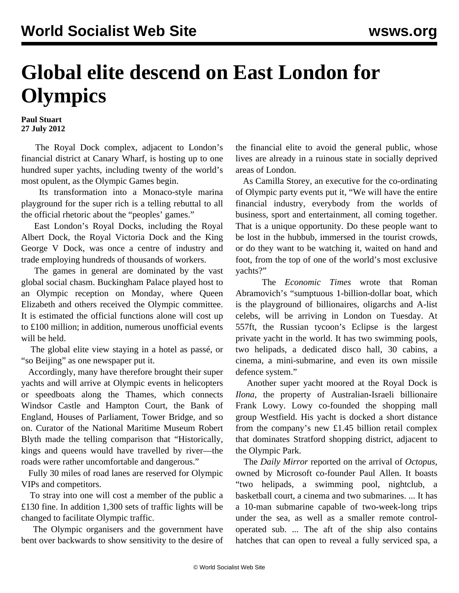## **Global elite descend on East London for Olympics**

## **Paul Stuart 27 July 2012**

 The Royal Dock complex, adjacent to London's financial district at Canary Wharf, is hosting up to one hundred super yachts, including twenty of the world's most opulent, as the Olympic Games begin.

 Its transformation into a Monaco-style marina playground for the super rich is a telling rebuttal to all the official rhetoric about the "peoples' games."

 East London's Royal Docks, including the Royal Albert Dock, the Royal Victoria Dock and the King George V Dock, was once a centre of industry and trade employing hundreds of thousands of workers.

 The games in general are dominated by the vast global social chasm. Buckingham Palace played host to an Olympic reception on Monday, where Queen Elizabeth and others received the Olympic committee. It is estimated the official functions alone will cost up to £100 million; in addition, numerous unofficial events will be held.

 The global elite view staying in a hotel as passé, or "so Beijing" as one newspaper put it.

 Accordingly, many have therefore brought their super yachts and will arrive at Olympic events in helicopters or speedboats along the Thames, which connects Windsor Castle and Hampton Court, the Bank of England, Houses of Parliament, Tower Bridge, and so on. Curator of the National Maritime Museum Robert Blyth made the telling comparison that "Historically, kings and queens would have travelled by river—the roads were rather uncomfortable and dangerous."

 Fully 30 miles of road lanes are reserved for Olympic VIPs and competitors.

 To stray into one will cost a member of the public a £130 fine. In addition 1,300 sets of traffic lights will be changed to facilitate Olympic traffic.

 The Olympic organisers and the government have bent over backwards to show sensitivity to the desire of the financial elite to avoid the general public, whose lives are already in a ruinous state in socially deprived areas of London.

 As Camilla Storey, an executive for the co-ordinating of Olympic party events put it, "We will have the entire financial industry, everybody from the worlds of business, sport and entertainment, all coming together. That is a unique opportunity. Do these people want to be lost in the hubbub, immersed in the tourist crowds, or do they want to be watching it, waited on hand and foot, from the top of one of the world's most exclusive yachts?"

 The *Economic Times* wrote that Roman Abramovich's "sumptuous 1-billion-dollar boat, which is the playground of billionaires, oligarchs and A-list celebs, will be arriving in London on Tuesday. At 557ft, the Russian tycoon's Eclipse is the largest private yacht in the world. It has two swimming pools, two helipads, a dedicated disco hall, 30 cabins, a cinema, a mini-submarine, and even its own missile defence system."

 Another super yacht moored at the Royal Dock is *Ilona*, the property of Australian-Israeli billionaire Frank Lowy. Lowy co-founded the shopping mall group Westfield. His yacht is docked a short distance from the company's new £1.45 billion retail complex that dominates Stratford shopping district, adjacent to the Olympic Park.

 The *Daily Mirror* reported on the arrival of *Octopus*, owned by Microsoft co-founder Paul Allen. It boasts "two helipads, a swimming pool, nightclub, a basketball court, a cinema and two submarines. ... It has a 10-man submarine capable of two-week-long trips under the sea, as well as a smaller remote controloperated sub. ... The aft of the ship also contains hatches that can open to reveal a fully serviced spa, a